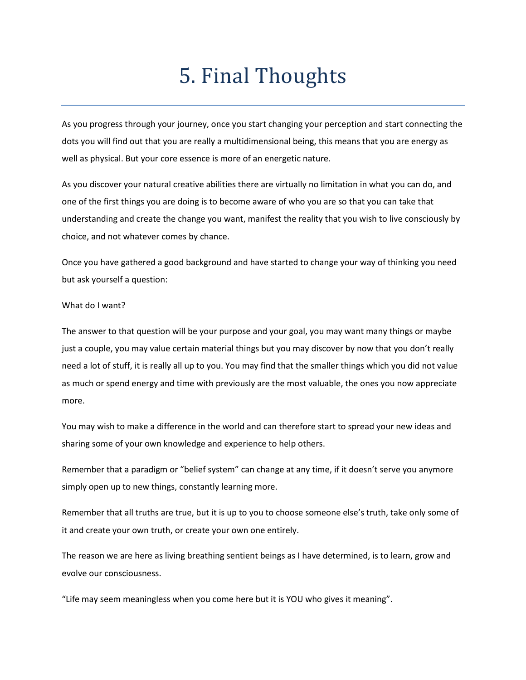## 5. Final Thoughts

As you progress through your journey, once you start changing your perception and start connecting the dots you will find out that you are really a multidimensional being, this means that you are energy as well as physical. But your core essence is more of an energetic nature.

As you discover your natural creative abilities there are virtually no limitation in what you can do, and one of the first things you are doing is to become aware of who you are so that you can take that understanding and create the change you want, manifest the reality that you wish to live consciously by choice, and not whatever comes by chance.

Once you have gathered a good background and have started to change your way of thinking you need but ask yourself a question:

## What do I want?

The answer to that question will be your purpose and your goal, you may want many things or maybe just a couple, you may value certain material things but you may discover by now that you don't really need a lot of stuff, it is really all up to you. You may find that the smaller things which you did not value as much or spend energy and time with previously are the most valuable, the ones you now appreciate more.

You may wish to make a difference in the world and can therefore start to spread your new ideas and sharing some of your own knowledge and experience to help others.

Remember that a paradigm or "belief system" can change at any time, if it doesn't serve you anymore simply open up to new things, constantly learning more.

Remember that all truths are true, but it is up to you to choose someone else's truth, take only some of it and create your own truth, or create your own one entirely.

The reason we are here as living breathing sentient beings as I have determined, is to learn, grow and evolve our consciousness.

"Life may seem meaningless when you come here but it is YOU who gives it meaning".